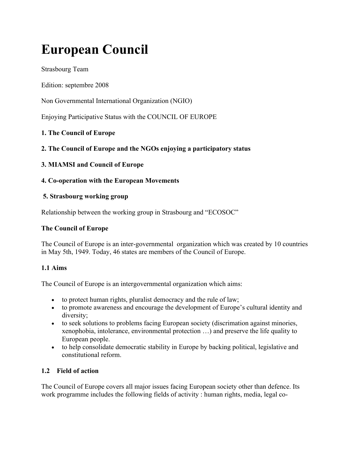# **European Council**

Strasbourg Team

Edition: septembre 2008

Non Governmental International Organization (NGIO)

Enjoying Participative Status with the COUNCIL OF EUROPE

# **1. The Council of Europe**

# **2. The Council of Europe and the NGOs enjoying a participatory status**

# **3. MIAMSI and Council of Europe**

# **4. Co-operation with the European Movements**

#### **5. Strasbourg working group**

Relationship between the working group in Strasbourg and "ECOSOC"

### **The Council of Europe**

The Council of Europe is an inter-governmental organization which was created by 10 countries in May 5th, 1949. Today, 46 states are members of the Council of Europe.

#### **1.1 Aims**

The Council of Europe is an intergovernmental organization which aims:

- to protect human rights, pluralist democracy and the rule of law;
- to promote awareness and encourage the development of Europe's cultural identity and diversity;
- to seek solutions to problems facing European society (discrimation against minories, xenophobia, intolerance, environmental protection …) and preserve the life quality to European people.
- to help consolidate democratic stability in Europe by backing political, legislative and constitutional reform.

# **1.2 Field of action**

The Council of Europe covers all major issues facing European society other than defence. Its work programme includes the following fields of activity : human rights, media, legal co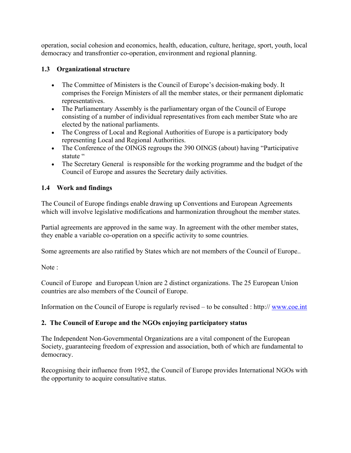operation, social cohesion and economics, health, education, culture, heritage, sport, youth, local democracy and transfrontier co-operation, environment and regional planning.

#### **1.3 Organizational structure**

- The Committee of Ministers is the Council of Europe's decision-making body. It comprises the Foreign Ministers of all the member states, or their permanent diplomatic representatives.
- The Parliamentary Assembly is the parliamentary organ of the Council of Europe consisting of a number of individual representatives from each member State who are elected by the national parliaments.
- The Congress of Local and Regional Authorities of Europe is a participatory body representing Local and Regional Authorities.
- The Conference of the OINGS regroups the 390 OINGS (about) having "Participative" statute "
- The Secretary General is responsible for the working programme and the budget of the Council of Europe and assures the Secretary daily activities.

#### **1.4 Work and findings**

The Council of Europe findings enable drawing up Conventions and European Agreements which will involve legislative modifications and harmonization throughout the member states.

Partial agreements are approved in the same way. In agreement with the other member states, they enable a variable co-operation on a specific activity to some countries.

Some agreements are also ratified by States which are not members of the Council of Europe..

Note:

Council of Europe and European Union are 2 distinct organizations. The 25 European Union countries are also members of the Council of Europe.

Information on the Council of Europe is regularly revised – to be consulted : http:// www.coe.int

#### **2. The Council of Europe and the NGOs enjoying participatory status**

The Independent Non-Governmental Organizations are a vital component of the European Society, guaranteeing freedom of expression and association, both of which are fundamental to democracy.

Recognising their influence from 1952, the Council of Europe provides International NGOs with the opportunity to acquire consultative status.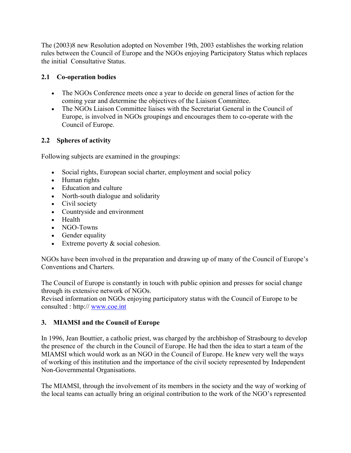The (2003)8 new Resolution adopted on November 19th, 2003 establishes the working relation rules between the Council of Europe and the NGOs enjoying Participatory Status which replaces the initial Consultative Status.

#### **2.1 Co-operation bodies**

- The NGOs Conference meets once a year to decide on general lines of action for the coming year and determine the objectives of the Liaison Committee.
- The NGOs Liaison Committee liaises with the Secretariat General in the Council of Europe, is involved in NGOs groupings and encourages them to co-operate with the Council of Europe.

#### **2.2 Spheres of activity**

Following subjects are examined in the groupings:

- Social rights, European social charter, employment and social policy
- Human rights
- Education and culture
- North-south dialogue and solidarity
- Civil society
- Countryside and environment
- Health
- NGO-Towns
- Gender equality
- Extreme poverty & social cohesion.

NGOs have been involved in the preparation and drawing up of many of the Council of Europe's Conventions and Charters.

The Council of Europe is constantly in touch with public opinion and presses for social change through its extensive network of NGOs.

Revised information on NGOs enjoying participatory status with the Council of Europe to be consulted : http:// www.coe.int

# **3. MIAMSI and the Council of Europe**

In 1996, Jean Bouttier, a catholic priest, was charged by the archbishop of Strasbourg to develop the presence of the church in the Council of Europe. He had then the idea to start a team of the MIAMSI which would work as an NGO in the Council of Europe. He knew very well the ways of working of this institution and the importance of the civil society represented by Independent Non-Governmental Organisations.

The MIAMSI, through the involvement of its members in the society and the way of working of the local teams can actually bring an original contribution to the work of the NGO's represented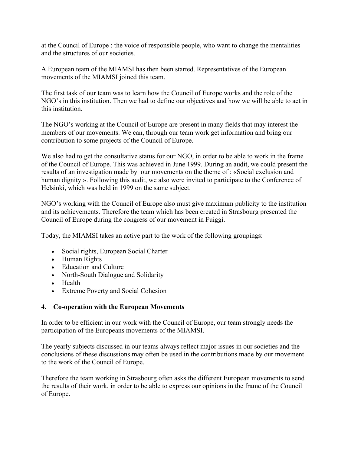at the Council of Europe : the voice of responsible people, who want to change the mentalities and the structures of our societies.

A European team of the MIAMSI has then been started. Representatives of the European movements of the MIAMSI joined this team.

The first task of our team was to learn how the Council of Europe works and the role of the NGO's in this institution. Then we had to define our objectives and how we will be able to act in this institution.

The NGO's working at the Council of Europe are present in many fields that may interest the members of our movements. We can, through our team work get information and bring our contribution to some projects of the Council of Europe.

We also had to get the consultative status for our NGO, in order to be able to work in the frame of the Council of Europe. This was achieved in June 1999. During an audit, we could present the results of an investigation made by our movements on the theme of : «Social exclusion and human dignity ». Following this audit, we also were invited to participate to the Conference of Helsinki, which was held in 1999 on the same subject.

NGO's working with the Council of Europe also must give maximum publicity to the institution and its achievements. Therefore the team which has been created in Strasbourg presented the Council of Europe during the congress of our movement in Fuiggi.

Today, the MIAMSI takes an active part to the work of the following groupings:

- Social rights, European Social Charter
- Human Rights
- Education and Culture
- North-South Dialogue and Solidarity
- Health
- Extreme Poverty and Social Cohesion

#### **4. Co-operation with the European Movements**

In order to be efficient in our work with the Council of Europe, our team strongly needs the participation of the Europeans movements of the MIAMSI.

The yearly subjects discussed in our teams always reflect major issues in our societies and the conclusions of these discussions may often be used in the contributions made by our movement to the work of the Council of Europe.

Therefore the team working in Strasbourg often asks the different European movements to send the results of their work, in order to be able to express our opinions in the frame of the Council of Europe.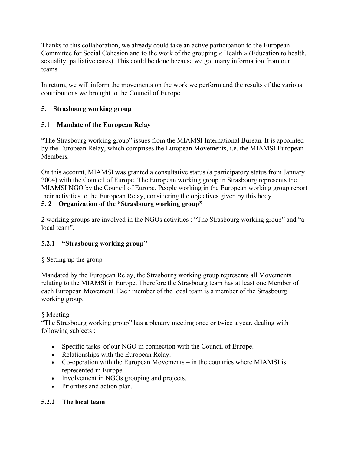Thanks to this collaboration, we already could take an active participation to the European Committee for Social Cohesion and to the work of the grouping « Health » (Education to health, sexuality, palliative cares). This could be done because we got many information from our teams.

In return, we will inform the movements on the work we perform and the results of the various contributions we brought to the Council of Europe.

# **5. Strasbourg working group**

# **5.1 Mandate of the European Relay**

"The Strasbourg working group" issues from the MIAMSI International Bureau. It is appointed by the European Relay, which comprises the European Movements, i.e. the MIAMSI European Members.

On this account, MIAMSI was granted a consultative status (a participatory status from January 2004) with the Council of Europe. The European working group in Strasbourg represents the MIAMSI NGO by the Council of Europe. People working in the European working group report their activities to the European Relay, considering the objectives given by this body.

# **5. 2 Organization of the "Strasbourg working group"**

2 working groups are involved in the NGOs activities : "The Strasbourg working group" and "a local team".

# **5.2.1 "Strasbourg working group"**

§ Setting up the group

Mandated by the European Relay, the Strasbourg working group represents all Movements relating to the MIAMSI in Europe. Therefore the Strasbourg team has at least one Member of each European Movement. Each member of the local team is a member of the Strasbourg working group.

#### § Meeting

"The Strasbourg working group" has a plenary meeting once or twice a year, dealing with following subjects :

- Specific tasks of our NGO in connection with the Council of Europe.
- Relationships with the European Relay.
- Co-operation with the European Movements in the countries where MIAMSI is represented in Europe.
- Involvement in NGOs grouping and projects.
- Priorities and action plan.

# **5.2.2 The local team**